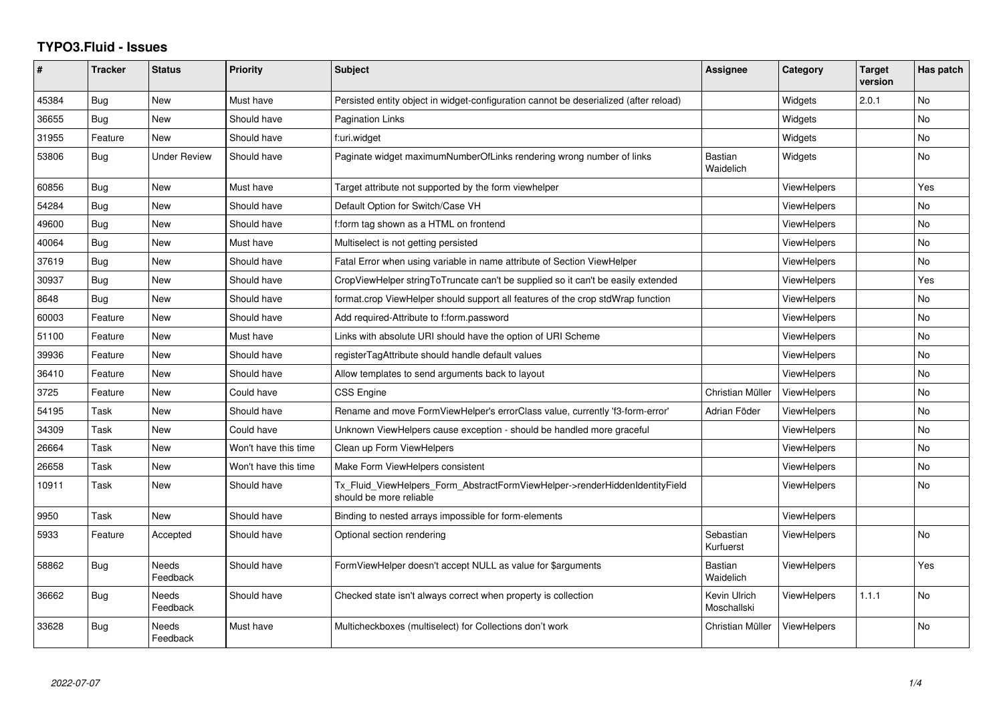## **TYPO3.Fluid - Issues**

| ∦     | <b>Tracker</b> | <b>Status</b>     | <b>Priority</b>      | Subject                                                                                                | Assignee                    | Category           | <b>Target</b><br>version | Has patch |
|-------|----------------|-------------------|----------------------|--------------------------------------------------------------------------------------------------------|-----------------------------|--------------------|--------------------------|-----------|
| 45384 | Bug            | <b>New</b>        | Must have            | Persisted entity object in widget-configuration cannot be deserialized (after reload)                  |                             | Widgets            | 2.0.1                    | <b>No</b> |
| 36655 | Bug            | <b>New</b>        | Should have          | <b>Pagination Links</b>                                                                                |                             | Widgets            |                          | No.       |
| 31955 | Feature        | <b>New</b>        | Should have          | f:uri.widget                                                                                           |                             | Widgets            |                          | No        |
| 53806 | Bug            | Under Review      | Should have          | Paginate widget maximumNumberOfLinks rendering wrong number of links                                   | <b>Bastian</b><br>Waidelich | Widgets            |                          | No        |
| 60856 | Bug            | New               | Must have            | Target attribute not supported by the form viewhelper                                                  |                             | ViewHelpers        |                          | Yes       |
| 54284 | Bug            | <b>New</b>        | Should have          | Default Option for Switch/Case VH                                                                      |                             | ViewHelpers        |                          | No.       |
| 49600 | Bug            | New               | Should have          | f:form tag shown as a HTML on frontend                                                                 |                             | ViewHelpers        |                          | No        |
| 40064 | Bug            | New               | Must have            | Multiselect is not getting persisted                                                                   |                             | <b>ViewHelpers</b> |                          | No        |
| 37619 | Bug            | New               | Should have          | Fatal Error when using variable in name attribute of Section ViewHelper                                |                             | ViewHelpers        |                          | No        |
| 30937 | Bug            | New               | Should have          | CropViewHelper stringToTruncate can't be supplied so it can't be easily extended                       |                             | <b>ViewHelpers</b> |                          | Yes       |
| 8648  | Bug            | New               | Should have          | format.crop ViewHelper should support all features of the crop stdWrap function                        |                             | <b>ViewHelpers</b> |                          | No.       |
| 60003 | Feature        | <b>New</b>        | Should have          | Add required-Attribute to f:form.password                                                              |                             | ViewHelpers        |                          | No        |
| 51100 | Feature        | New               | Must have            | Links with absolute URI should have the option of URI Scheme                                           |                             | <b>ViewHelpers</b> |                          | No        |
| 39936 | Feature        | New               | Should have          | registerTagAttribute should handle default values                                                      |                             | ViewHelpers        |                          | No        |
| 36410 | Feature        | <b>New</b>        | Should have          | Allow templates to send arguments back to layout                                                       |                             | ViewHelpers        |                          | <b>No</b> |
| 3725  | Feature        | New               | Could have           | CSS Engine                                                                                             | Christian Müller            | ViewHelpers        |                          | No        |
| 54195 | Task           | New               | Should have          | Rename and move FormViewHelper's errorClass value, currently 'f3-form-error'                           | Adrian Föder                | ViewHelpers        |                          | No.       |
| 34309 | Task           | New               | Could have           | Unknown ViewHelpers cause exception - should be handled more graceful                                  |                             | ViewHelpers        |                          | No        |
| 26664 | Task           | <b>New</b>        | Won't have this time | Clean up Form ViewHelpers                                                                              |                             | ViewHelpers        |                          | No.       |
| 26658 | Task           | New               | Won't have this time | Make Form ViewHelpers consistent                                                                       |                             | ViewHelpers        |                          | No        |
| 10911 | Task           | New               | Should have          | Tx_Fluid_ViewHelpers_Form_AbstractFormViewHelper->renderHiddenIdentityField<br>should be more reliable |                             | ViewHelpers        |                          | No        |
| 9950  | Task           | New               | Should have          | Binding to nested arrays impossible for form-elements                                                  |                             | ViewHelpers        |                          |           |
| 5933  | Feature        | Accepted          | Should have          | Optional section rendering                                                                             | Sebastian<br>Kurfuerst      | ViewHelpers        |                          | No        |
| 58862 | Bug            | Needs<br>Feedback | Should have          | FormViewHelper doesn't accept NULL as value for \$arguments                                            | Bastian<br>Waidelich        | ViewHelpers        |                          | Yes       |
| 36662 | Bug            | Needs<br>Feedback | Should have          | Checked state isn't always correct when property is collection                                         | Kevin Ulrich<br>Moschallski | <b>ViewHelpers</b> | 1.1.1                    | No        |
| 33628 | Bug            | Needs<br>Feedback | Must have            | Multicheckboxes (multiselect) for Collections don't work                                               | Christian Müller            | <b>ViewHelpers</b> |                          | <b>No</b> |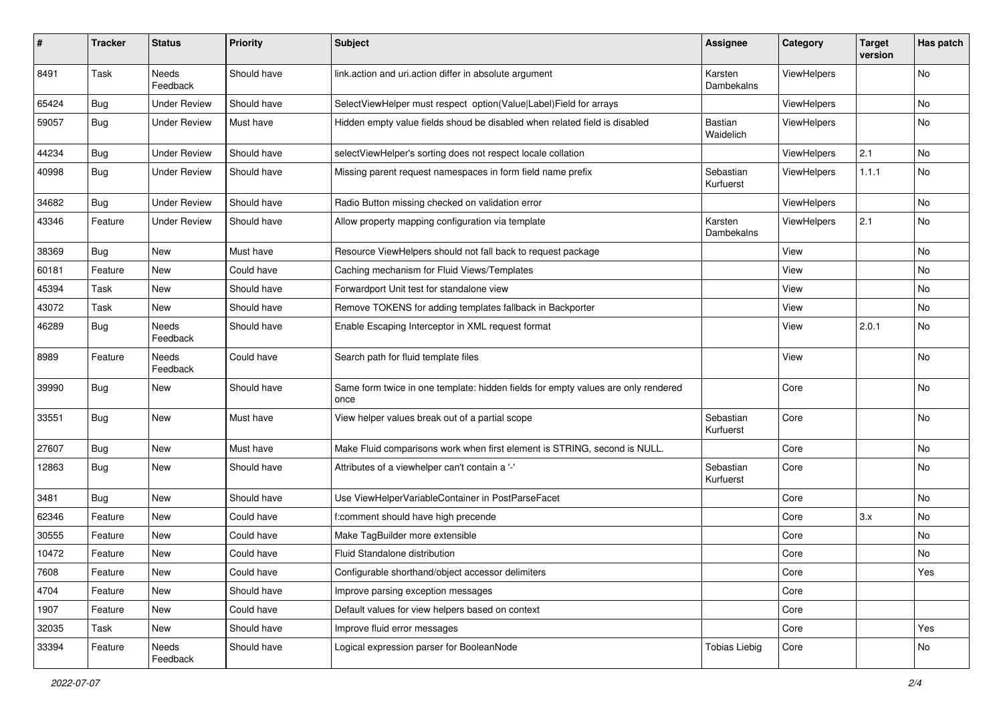| #     | <b>Tracker</b> | <b>Status</b>            | <b>Priority</b> | Subject                                                                                   | <b>Assignee</b>        | Category    | <b>Target</b><br>version | Has patch |
|-------|----------------|--------------------------|-----------------|-------------------------------------------------------------------------------------------|------------------------|-------------|--------------------------|-----------|
| 8491  | Task           | <b>Needs</b><br>Feedback | Should have     | link.action and uri.action differ in absolute argument                                    | Karsten<br>Dambekalns  | ViewHelpers |                          | <b>No</b> |
| 65424 | Bug            | <b>Under Review</b>      | Should have     | SelectViewHelper must respect option(Value Label)Field for arrays                         |                        | ViewHelpers |                          | No        |
| 59057 | Bug            | <b>Under Review</b>      | Must have       | Hidden empty value fields shoud be disabled when related field is disabled                | Bastian<br>Waidelich   | ViewHelpers |                          | No        |
| 44234 | Bug            | <b>Under Review</b>      | Should have     | selectViewHelper's sorting does not respect locale collation                              |                        | ViewHelpers | 2.1                      | <b>No</b> |
| 40998 | Bug            | <b>Under Review</b>      | Should have     | Missing parent request namespaces in form field name prefix                               | Sebastian<br>Kurfuerst | ViewHelpers | 1.1.1                    | No        |
| 34682 | Bug            | <b>Under Review</b>      | Should have     | Radio Button missing checked on validation error                                          |                        | ViewHelpers |                          | <b>No</b> |
| 43346 | Feature        | <b>Under Review</b>      | Should have     | Allow property mapping configuration via template                                         | Karsten<br>Dambekalns  | ViewHelpers | 2.1                      | No        |
| 38369 | <b>Bug</b>     | New                      | Must have       | Resource ViewHelpers should not fall back to request package                              |                        | View        |                          | No        |
| 60181 | Feature        | <b>New</b>               | Could have      | Caching mechanism for Fluid Views/Templates                                               |                        | View        |                          | <b>No</b> |
| 45394 | Task           | New                      | Should have     | Forwardport Unit test for standalone view                                                 |                        | View        |                          | No        |
| 43072 | Task           | New                      | Should have     | Remove TOKENS for adding templates fallback in Backporter                                 |                        | View        |                          | No        |
| 46289 | Bug            | Needs<br>Feedback        | Should have     | Enable Escaping Interceptor in XML request format                                         |                        | View        | 2.0.1                    | No        |
| 8989  | Feature        | Needs<br>Feedback        | Could have      | Search path for fluid template files                                                      |                        | View        |                          | <b>No</b> |
| 39990 | Bug            | New                      | Should have     | Same form twice in one template: hidden fields for empty values are only rendered<br>once |                        | Core        |                          | No        |
| 33551 | Bug            | New                      | Must have       | View helper values break out of a partial scope                                           | Sebastian<br>Kurfuerst | Core        |                          | No        |
| 27607 | Bug            | New                      | Must have       | Make Fluid comparisons work when first element is STRING, second is NULL.                 |                        | Core        |                          | No        |
| 12863 | Bug            | New                      | Should have     | Attributes of a viewhelper can't contain a '-'                                            | Sebastian<br>Kurfuerst | Core        |                          | No        |
| 3481  | Bug            | New                      | Should have     | Use ViewHelperVariableContainer in PostParseFacet                                         |                        | Core        |                          | <b>No</b> |
| 62346 | Feature        | New                      | Could have      | f:comment should have high precende                                                       |                        | Core        | 3.x                      | No        |
| 30555 | Feature        | New                      | Could have      | Make TagBuilder more extensible                                                           |                        | Core        |                          | No        |
| 10472 | Feature        | New                      | Could have      | Fluid Standalone distribution                                                             |                        | Core        |                          | No        |
| 7608  | Feature        | New                      | Could have      | Configurable shorthand/object accessor delimiters                                         |                        | Core        |                          | Yes       |
| 4704  | Feature        | New                      | Should have     | Improve parsing exception messages                                                        |                        | Core        |                          |           |
| 1907  | Feature        | New                      | Could have      | Default values for view helpers based on context                                          |                        | Core        |                          |           |
| 32035 | Task           | New                      | Should have     | Improve fluid error messages                                                              |                        | Core        |                          | Yes       |
| 33394 | Feature        | Needs<br>Feedback        | Should have     | Logical expression parser for BooleanNode                                                 | <b>Tobias Liebig</b>   | Core        |                          | No        |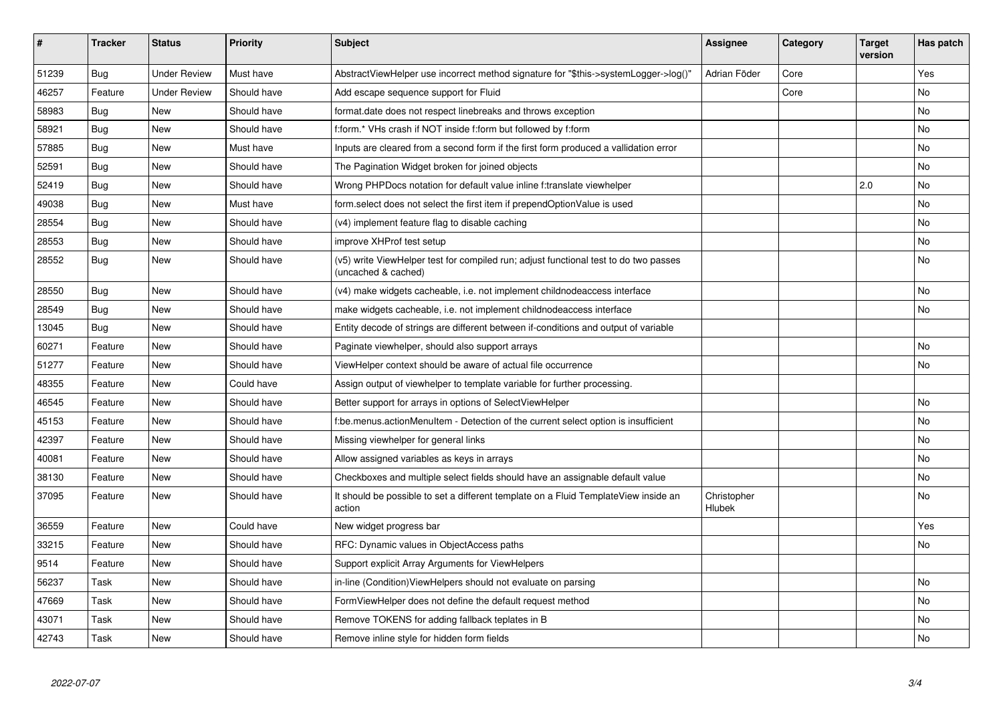| #     | <b>Tracker</b> | <b>Status</b>       | <b>Priority</b> | <b>Subject</b>                                                                                              | Assignee                     | Category | Target<br>version | Has patch |
|-------|----------------|---------------------|-----------------|-------------------------------------------------------------------------------------------------------------|------------------------------|----------|-------------------|-----------|
| 51239 | Bug            | <b>Under Review</b> | Must have       | AbstractViewHelper use incorrect method signature for "\$this->systemLogger->log()"                         | Adrian Föder                 | Core     |                   | Yes.      |
| 46257 | Feature        | <b>Under Review</b> | Should have     | Add escape sequence support for Fluid                                                                       |                              | Core     |                   | No        |
| 58983 | Bug            | <b>New</b>          | Should have     | format.date does not respect linebreaks and throws exception                                                |                              |          |                   | No        |
| 58921 | Bug            | New                 | Should have     | f:form.* VHs crash if NOT inside f:form but followed by f:form                                              |                              |          |                   | No        |
| 57885 | Bug            | <b>New</b>          | Must have       | Inputs are cleared from a second form if the first form produced a vallidation error                        |                              |          |                   | <b>No</b> |
| 52591 | Bug            | New                 | Should have     | The Pagination Widget broken for joined objects                                                             |                              |          |                   | No        |
| 52419 | <b>Bug</b>     | <b>New</b>          | Should have     | Wrong PHPDocs notation for default value inline f:translate viewhelper                                      |                              |          | 2.0               | <b>No</b> |
| 49038 | Bug            | <b>New</b>          | Must have       | form select does not select the first item if prependOptionValue is used                                    |                              |          |                   | <b>No</b> |
| 28554 | Bug            | New                 | Should have     | (v4) implement feature flag to disable caching                                                              |                              |          |                   | No        |
| 28553 | Bug            | <b>New</b>          | Should have     | improve XHProf test setup                                                                                   |                              |          |                   | <b>No</b> |
| 28552 | Bug            | New                 | Should have     | (v5) write ViewHelper test for compiled run; adjust functional test to do two passes<br>(uncached & cached) |                              |          |                   | No        |
| 28550 | Bug            | New                 | Should have     | (v4) make widgets cacheable, i.e. not implement childnodeaccess interface                                   |                              |          |                   | No        |
| 28549 | Bug            | <b>New</b>          | Should have     | make widgets cacheable, i.e. not implement childnodeaccess interface                                        |                              |          |                   | <b>No</b> |
| 13045 | Bug            | <b>New</b>          | Should have     | Entity decode of strings are different between if-conditions and output of variable                         |                              |          |                   |           |
| 60271 | Feature        | <b>New</b>          | Should have     | Paginate viewhelper, should also support arrays                                                             |                              |          |                   | <b>No</b> |
| 51277 | Feature        | New                 | Should have     | ViewHelper context should be aware of actual file occurrence                                                |                              |          |                   | <b>No</b> |
| 48355 | Feature        | <b>New</b>          | Could have      | Assign output of viewhelper to template variable for further processing.                                    |                              |          |                   |           |
| 46545 | Feature        | New                 | Should have     | Better support for arrays in options of SelectViewHelper                                                    |                              |          |                   | <b>No</b> |
| 45153 | Feature        | New                 | Should have     | f:be.menus.actionMenuItem - Detection of the current select option is insufficient                          |                              |          |                   | No        |
| 42397 | Feature        | New                 | Should have     | Missing viewhelper for general links                                                                        |                              |          |                   | No        |
| 40081 | Feature        | New                 | Should have     | Allow assigned variables as keys in arrays                                                                  |                              |          |                   | No        |
| 38130 | Feature        | New                 | Should have     | Checkboxes and multiple select fields should have an assignable default value                               |                              |          |                   | No        |
| 37095 | Feature        | New                 | Should have     | It should be possible to set a different template on a Fluid TemplateView inside an<br>action               | Christopher<br><b>Hlubek</b> |          |                   | No        |
| 36559 | Feature        | New                 | Could have      | New widget progress bar                                                                                     |                              |          |                   | Yes       |
| 33215 | Feature        | New                 | Should have     | RFC: Dynamic values in ObjectAccess paths                                                                   |                              |          |                   | No        |
| 9514  | Feature        | New                 | Should have     | Support explicit Array Arguments for ViewHelpers                                                            |                              |          |                   |           |
| 56237 | Task           | New                 | Should have     | in-line (Condition) View Helpers should not evaluate on parsing                                             |                              |          |                   | No        |
| 47669 | Task           | New                 | Should have     | FormViewHelper does not define the default request method                                                   |                              |          |                   | No        |
| 43071 | Task           | New                 | Should have     | Remove TOKENS for adding fallback teplates in B                                                             |                              |          |                   | No        |
| 42743 | Task           | <b>New</b>          | Should have     | Remove inline style for hidden form fields                                                                  |                              |          |                   | <b>No</b> |